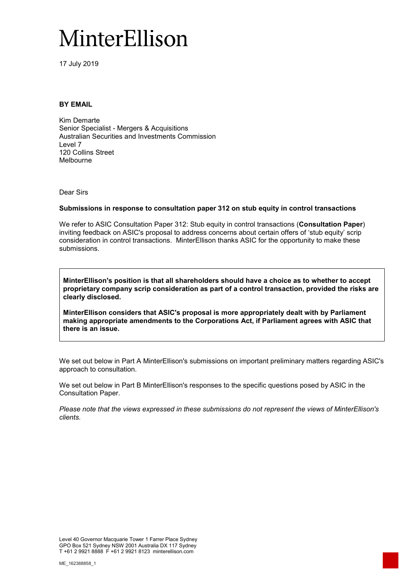# MinterEllison

17 July 2019

## **BY EMAIL**

Kim Demarte Senior Specialist - Mergers & Acquisitions Australian Securities and Investments Commission Level 7 120 Collins Street Melbourne

Dear Sirs

#### **Submissions in response to consultation paper 312 on stub equity in control transactions**

We refer to ASIC Consultation Paper 312: Stub equity in control transactions (**Consultation Paper**) inviting feedback on ASIC's proposal to address concerns about certain offers of 'stub equity' scrip consideration in control transactions. MinterEllison thanks ASIC for the opportunity to make these submissions.

**MinterEllison's position is that all shareholders should have a choice as to whether to accept proprietary company scrip consideration as part of a control transaction, provided the risks are clearly disclosed.** 

**MinterEllison considers that ASIC's proposal is more appropriately dealt with by Parliament making appropriate amendments to the Corporations Act, if Parliament agrees with ASIC that there is an issue.** 

We set out below in Part A MinterEllison's submissions on important preliminary matters regarding ASIC's approach to consultation.

We set out below in Part B MinterEllison's responses to the specific questions posed by ASIC in the Consultation Paper.

*Please note that the views expressed in these submissions do not represent the views of MinterEllison's clients.*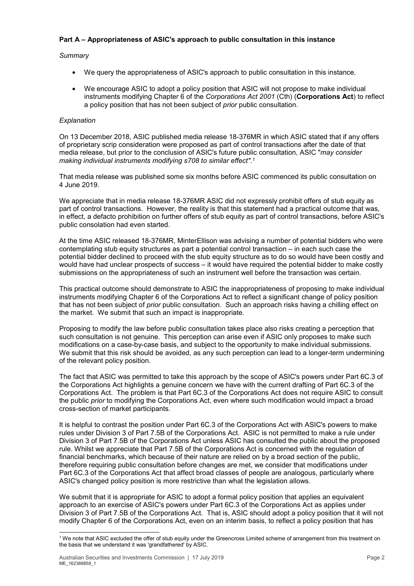# **Part A – Appropriateness of ASIC's approach to public consultation in this instance**

# *Summary*

- We query the appropriateness of ASIC's approach to public consultation in this instance.
- We encourage ASIC to adopt a policy position that ASIC will not propose to make individual instruments modifying Chapter 6 of the *Corporations Act 2001* (Cth) (**Corporations Act**) to reflect a policy position that has not been subject of *prior* public consultation.

# *Explanation*

On 13 December 2018, ASIC published media release 18-376MR in which ASIC stated that if any offers of proprietary scrip consideration were proposed as part of control transactions after the date of that media release, but prior to the conclusion of ASIC's future public consultation, ASIC "*may consider making individual instruments modifying s708 to similar effect"*. *1*

That media release was published some six months before ASIC commenced its public consultation on 4 June 2019.

We appreciate that in media release 18-376MR ASIC did not expressly prohibit offers of stub equity as part of control transactions. However, the reality is that this statement had a practical outcome that was, in effect, a defacto prohibition on further offers of stub equity as part of control transactions, before ASIC's public consolation had even started.

At the time ASIC released 18-376MR, MinterEllison was advising a number of potential bidders who were contemplating stub equity structures as part a potential control transaction – in each such case the potential bidder declined to proceed with the stub equity structure as to do so would have been costly and would have had unclear prospects of success – it would have required the potential bidder to make costly submissions on the appropriateness of such an instrument well before the transaction was certain.

This practical outcome should demonstrate to ASIC the inappropriateness of proposing to make individual instruments modifying Chapter 6 of the Corporations Act to reflect a significant change of policy position that has not been subject of *prior* public consultation. Such an approach risks having a chilling effect on the market. We submit that such an impact is inappropriate.

Proposing to modify the law before public consultation takes place also risks creating a perception that such consultation is not genuine. This perception can arise even if ASIC only proposes to make such modifications on a case-by-case basis, and subject to the opportunity to make individual submissions. We submit that this risk should be avoided, as any such perception can lead to a longer-term undermining of the relevant policy position.

The fact that ASIC was permitted to take this approach by the scope of ASIC's powers under Part 6C.3 of the Corporations Act highlights a genuine concern we have with the current drafting of Part 6C.3 of the Corporations Act. The problem is that Part 6C.3 of the Corporations Act does not require ASIC to consult the public *prior* to modifying the Corporations Act, even where such modification would impact a broad cross-section of market participants.

It is helpful to contrast the position under Part 6C.3 of the Corporations Act with ASIC's powers to make rules under Division 3 of Part 7.5B of the Corporations Act. ASIC is not permitted to make a rule under Division 3 of Part 7.5B of the Corporations Act unless ASIC has consulted the public about the proposed rule. Whilst we appreciate that Part 7.5B of the Corporations Act is concerned with the regulation of financial benchmarks, which because of their nature are relied on by a broad section of the public, therefore requiring public consultation before changes are met, we consider that modifications under Part 6C.3 of the Corporations Act that affect broad classes of people are analogous, particularly where ASIC's changed policy position is more restrictive than what the legislation allows.

We submit that it is appropriate for ASIC to adopt a formal policy position that applies an equivalent approach to an exercise of ASIC's powers under Part 6C.3 of the Corporations Act as applies under Division 3 of Part 7.5B of the Corporations Act. That is, ASIC should adopt a policy position that it will not modify Chapter 6 of the Corporations Act, even on an interim basis, to reflect a policy position that has

<sup>&</sup>lt;sup>1</sup> We note that ASIC excluded the offer of stub equity under the Greencross Limited scheme of arrangement from this treatment on the basis that we understand it was 'grandfathered' by ASIC.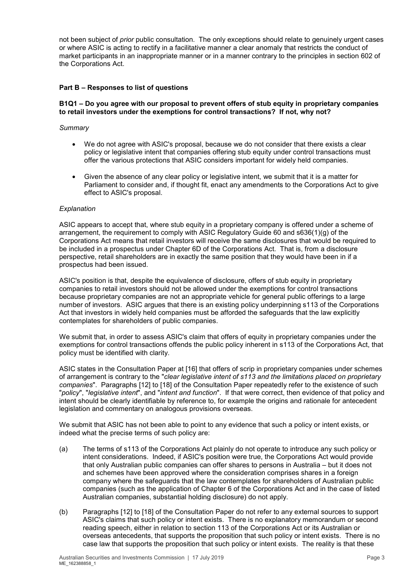not been subject of *prior* public consultation. The only exceptions should relate to genuinely urgent cases or where ASIC is acting to rectify in a facilitative manner a clear anomaly that restricts the conduct of market participants in an inappropriate manner or in a manner contrary to the principles in section 602 of the Corporations Act.

# **Part B – Responses to list of questions**

# **B1Q1 – Do you agree with our proposal to prevent offers of stub equity in proprietary companies to retail investors under the exemptions for control transactions? If not, why not?**

## *Summary*

- We do not agree with ASIC's proposal, because we do not consider that there exists a clear policy or legislative intent that companies offering stub equity under control transactions must offer the various protections that ASIC considers important for widely held companies.
- Given the absence of any clear policy or legislative intent, we submit that it is a matter for Parliament to consider and, if thought fit, enact any amendments to the Corporations Act to give effect to ASIC's proposal.

## *Explanation*

ASIC appears to accept that, where stub equity in a proprietary company is offered under a scheme of arrangement, the requirement to comply with ASIC Regulatory Guide 60 and s636(1)(g) of the Corporations Act means that retail investors will receive the same disclosures that would be required to be included in a prospectus under Chapter 6D of the Corporations Act. That is, from a disclosure perspective, retail shareholders are in exactly the same position that they would have been in if a prospectus had been issued.

ASIC's position is that, despite the equivalence of disclosure, offers of stub equity in proprietary companies to retail investors should not be allowed under the exemptions for control transactions because proprietary companies are not an appropriate vehicle for general public offerings to a large number of investors. ASIC argues that there is an existing policy underpinning s113 of the Corporations Act that investors in widely held companies must be afforded the safeguards that the law explicitly contemplates for shareholders of public companies.

We submit that, in order to assess ASIC's claim that offers of equity in proprietary companies under the exemptions for control transactions offends the public policy inherent in s113 of the Corporations Act, that policy must be identified with clarity.

ASIC states in the Consultation Paper at [16] that offers of scrip in proprietary companies under schemes of arrangement is contrary to the "*clear legislative intent of s113 and the limitations placed on proprietary companies*". Paragraphs [12] to [18] of the Consultation Paper repeatedly refer to the existence of such "*policy*", "*legislative intent*", and "*intent and function*". If that were correct, then evidence of that policy and intent should be clearly identifiable by reference to, for example the origins and rationale for antecedent legislation and commentary on analogous provisions overseas.

We submit that ASIC has not been able to point to any evidence that such a policy or intent exists, or indeed what the precise terms of such policy are:

- (a) The terms of s113 of the Corporations Act plainly do not operate to introduce any such policy or intent considerations. Indeed, if ASIC's position were true, the Corporations Act would provide that only Australian public companies can offer shares to persons in Australia – but it does not and schemes have been approved where the consideration comprises shares in a foreign company where the safeguards that the law contemplates for shareholders of Australian public companies (such as the application of Chapter 6 of the Corporations Act and in the case of listed Australian companies, substantial holding disclosure) do not apply.
- (b) Paragraphs [12] to [18] of the Consultation Paper do not refer to any external sources to support ASIC's claims that such policy or intent exists. There is no explanatory memorandum or second reading speech, either in relation to section 113 of the Corporations Act or its Australian or overseas antecedents, that supports the proposition that such policy or intent exists. There is no case law that supports the proposition that such policy or intent exists. The reality is that these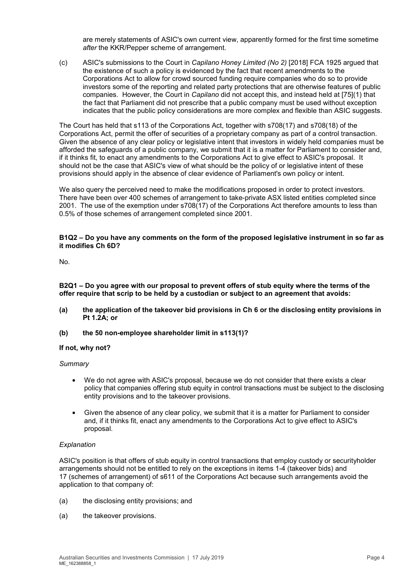are merely statements of ASIC's own current view, apparently formed for the first time sometime *after* the KKR/Pepper scheme of arrangement.

(c) ASIC's submissions to the Court in *Capilano Honey Limited (No 2)* [2018] FCA 1925 argued that the existence of such a policy is evidenced by the fact that recent amendments to the Corporations Act to allow for crowd sourced funding require companies who do so to provide investors some of the reporting and related party protections that are otherwise features of public companies. However, the Court in *Capilano* did not accept this, and instead held at [75](1) that the fact that Parliament did not prescribe that a public company must be used without exception indicates that the public policy considerations are more complex and flexible than ASIC suggests.

The Court has held that s113 of the Corporations Act, together with s708(17) and s708(18) of the Corporations Act, permit the offer of securities of a proprietary company as part of a control transaction. Given the absence of any clear policy or legislative intent that investors in widely held companies must be afforded the safeguards of a public company, we submit that it is a matter for Parliament to consider and, if it thinks fit, to enact any amendments to the Corporations Act to give effect to ASIC's proposal. It should not be the case that ASIC's view of what should be the policy of or legislative intent of these provisions should apply in the absence of clear evidence of Parliament's own policy or intent.

We also query the perceived need to make the modifications proposed in order to protect investors. There have been over 400 schemes of arrangement to take-private ASX listed entities completed since 2001. The use of the exemption under s708(17) of the Corporations Act therefore amounts to less than 0.5% of those schemes of arrangement completed since 2001.

### **B1Q2 – Do you have any comments on the form of the proposed legislative instrument in so far as it modifies Ch 6D?**

No.

**B2Q1 – Do you agree with our proposal to prevent offers of stub equity where the terms of the offer require that scrip to be held by a custodian or subject to an agreement that avoids:** 

- **(a) the application of the takeover bid provisions in Ch 6 or the disclosing entity provisions in Pt 1.2A; or**
- **(b) the 50 non-employee shareholder limit in s113(1)?**

#### **If not, why not?**

#### *Summary*

- We do not agree with ASIC's proposal, because we do not consider that there exists a clear policy that companies offering stub equity in control transactions must be subject to the disclosing entity provisions and to the takeover provisions.
- Given the absence of any clear policy, we submit that it is a matter for Parliament to consider and, if it thinks fit, enact any amendments to the Corporations Act to give effect to ASIC's proposal.

#### *Explanation*

ASIC's position is that offers of stub equity in control transactions that employ custody or securityholder arrangements should not be entitled to rely on the exceptions in items 1-4 (takeover bids) and 17 (schemes of arrangement) of s611 of the Corporations Act because such arrangements avoid the application to that company of:

- (a) the disclosing entity provisions; and
- (a) the takeover provisions.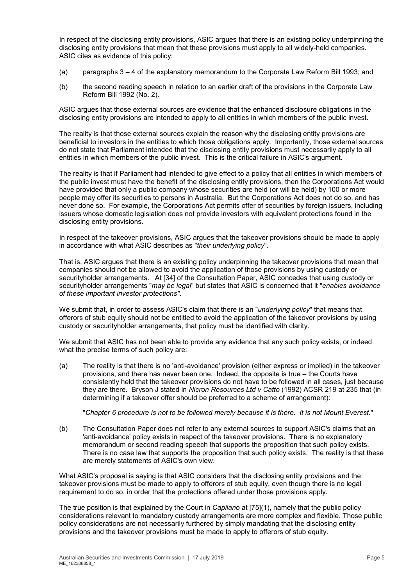In respect of the disclosing entity provisions, ASIC argues that there is an existing policy underpinning the disclosing entity provisions that mean that these provisions must apply to all widely-held companies. ASIC cites as evidence of this policy:

- (a) paragraphs 3 4 of the explanatory memorandum to the Corporate Law Reform Bill 1993; and
- (b) the second reading speech in relation to an earlier draft of the provisions in the Corporate Law Reform Bill 1992 (No. 2).

ASIC argues that those external sources are evidence that the enhanced disclosure obligations in the disclosing entity provisions are intended to apply to all entities in which members of the public invest.

The reality is that those external sources explain the reason why the disclosing entity provisions are beneficial to investors in the entities to which those obligations apply. Importantly, those external sources do not state that Parliament intended that the disclosing entity provisions must necessarily apply to all entities in which members of the public invest. This is the critical failure in ASIC's argument.

The reality is that if Parliament had intended to give effect to a policy that all entities in which members of the public invest must have the benefit of the disclosing entity provisions, then the Corporations Act would have provided that only a public company whose securities are held (or will be held) by 100 or more people may offer its securities to persons in Australia. But the Corporations Act does not do so, and has never done so. For example, the Corporations Act permits offer of securities by foreign issuers, including issuers whose domestic legislation does not provide investors with equivalent protections found in the disclosing entity provisions.

In respect of the takeover provisions, ASIC argues that the takeover provisions should be made to apply in accordance with what ASIC describes as "*their underlying policy*".

That is, ASIC argues that there is an existing policy underpinning the takeover provisions that mean that companies should not be allowed to avoid the application of those provisions by using custody or securityholder arrangements. At [34] of the Consultation Paper, ASIC concedes that using custody or securityholder arrangements "*may be legal*" but states that ASIC is concerned that it "*enables avoidance of these important investor protections"*.

We submit that, in order to assess ASIC's claim that there is an "*underlying policy*" that means that offerors of stub equity should not be entitled to avoid the application of the takeover provisions by using custody or securityholder arrangements, that policy must be identified with clarity.

We submit that ASIC has not been able to provide any evidence that any such policy exists, or indeed what the precise terms of such policy are:

(a) The reality is that there is no 'anti-avoidance' provision (either express or implied) in the takeover provisions, and there has never been one. Indeed, the opposite is true – the Courts have consistently held that the takeover provisions do not have to be followed in all cases, just because they are there. Bryson J stated in *Nicron Resources Ltd v Catto* (1992) ACSR 219 at 235 that (in determining if a takeover offer should be preferred to a scheme of arrangement):

"*Chapter 6 procedure is not to be followed merely because it is there. It is not Mount Everest*."

(b) The Consultation Paper does not refer to any external sources to support ASIC's claims that an 'anti-avoidance' policy exists in respect of the takeover provisions. There is no explanatory memorandum or second reading speech that supports the proposition that such policy exists. There is no case law that supports the proposition that such policy exists. The reality is that these are merely statements of ASIC's own view.

What ASIC's proposal is saying is that ASIC considers that the disclosing entity provisions and the takeover provisions must be made to apply to offerors of stub equity, even though there is no legal requirement to do so, in order that the protections offered under those provisions apply.

The true position is that explained by the Court in *Capilano* at [75](1), namely that the public policy considerations relevant to mandatory custody arrangements are more complex and flexible. Those public policy considerations are not necessarily furthered by simply mandating that the disclosing entity provisions and the takeover provisions must be made to apply to offerors of stub equity.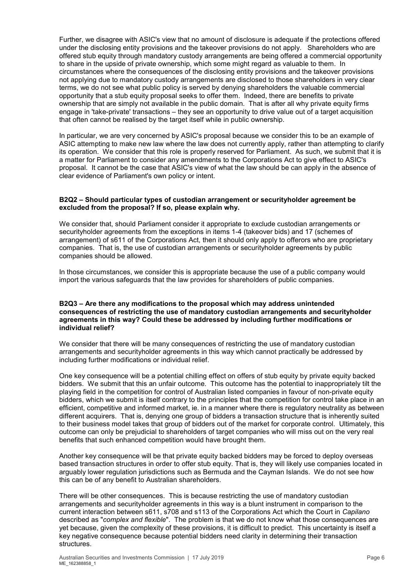Further, we disagree with ASIC's view that no amount of disclosure is adequate if the protections offered under the disclosing entity provisions and the takeover provisions do not apply. Shareholders who are offered stub equity through mandatory custody arrangements are being offered a commercial opportunity to share in the upside of private ownership, which some might regard as valuable to them. In circumstances where the consequences of the disclosing entity provisions and the takeover provisions not applying due to mandatory custody arrangements are disclosed to those shareholders in very clear terms, we do not see what public policy is served by denying shareholders the valuable commercial opportunity that a stub equity proposal seeks to offer them. Indeed, there are benefits to private ownership that are simply not available in the public domain. That is after all why private equity firms engage in 'take-private' transactions – they see an opportunity to drive value out of a target acquisition that often cannot be realised by the target itself while in public ownership.

In particular, we are very concerned by ASIC's proposal because we consider this to be an example of ASIC attempting to make new law where the law does not currently apply, rather than attempting to clarify its operation. We consider that this role is properly reserved for Parliament. As such, we submit that it is a matter for Parliament to consider any amendments to the Corporations Act to give effect to ASIC's proposal. It cannot be the case that ASIC's view of what the law should be can apply in the absence of clear evidence of Parliament's own policy or intent.

## **B2Q2 – Should particular types of custodian arrangement or securityholder agreement be excluded from the proposal? If so, please explain why.**

We consider that, should Parliament consider it appropriate to exclude custodian arrangements or securityholder agreements from the exceptions in items 1-4 (takeover bids) and 17 (schemes of arrangement) of s611 of the Corporations Act, then it should only apply to offerors who are proprietary companies. That is, the use of custodian arrangements or securityholder agreements by public companies should be allowed.

In those circumstances, we consider this is appropriate because the use of a public company would import the various safeguards that the law provides for shareholders of public companies.

### **B2Q3 – Are there any modifications to the proposal which may address unintended consequences of restricting the use of mandatory custodian arrangements and securityholder agreements in this way? Could these be addressed by including further modifications or individual relief?**

We consider that there will be many consequences of restricting the use of mandatory custodian arrangements and securityholder agreements in this way which cannot practically be addressed by including further modifications or individual relief.

One key consequence will be a potential chilling effect on offers of stub equity by private equity backed bidders. We submit that this an unfair outcome. This outcome has the potential to inappropriately tilt the playing field in the competition for control of Australian listed companies in favour of non-private equity bidders, which we submit is itself contrary to the principles that the competition for control take place in an efficient, competitive and informed market, ie. in a manner where there is regulatory neutrality as between different acquirers. That is, denying one group of bidders a transaction structure that is inherently suited to their business model takes that group of bidders out of the market for corporate control. Ultimately, this outcome can only be prejudicial to shareholders of target companies who will miss out on the very real benefits that such enhanced competition would have brought them.

Another key consequence will be that private equity backed bidders may be forced to deploy overseas based transaction structures in order to offer stub equity. That is, they will likely use companies located in arguably lower regulation jurisdictions such as Bermuda and the Cayman Islands. We do not see how this can be of any benefit to Australian shareholders.

There will be other consequences. This is because restricting the use of mandatory custodian arrangements and securityholder agreements in this way is a blunt instrument in comparison to the current interaction between s611, s708 and s113 of the Corporations Act which the Court in *Capilano*  described as "*complex and flexible*". The problem is that we do not know what those consequences are yet because, given the complexity of these provisions, it is difficult to predict. This uncertainty is itself a key negative consequence because potential bidders need clarity in determining their transaction structures.